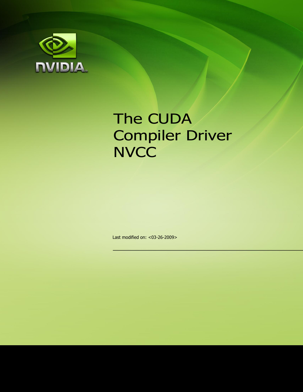

# The CUDA Compiler Driver **NVCC**

Last modified on: <03-26-2009>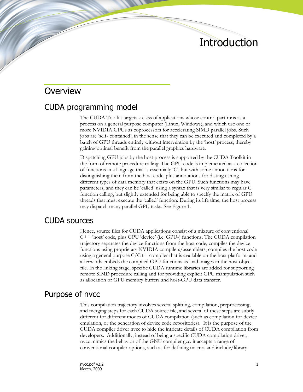# Introduction

#### **Overview**

#### CUDA programming model

The CUDA Toolkit targets a class of applications whose control part runs as a process on a general purpose computer (Linux, Windows), and which use one or more NVIDIA GPUs as coprocessors for accelerating SIMD parallel jobs. Such jobs are "self- contained", in the sense that they can be executed and completed by a batch of GPU threads entirely without intervention by the "host" process, thereby gaining optimal benefit from the parallel graphics hardware.

Dispatching GPU jobs by the host process is supported by the CUDA Toolkit in the form of remote procedure calling. The GPU code is implemented as a collection of functions in a language that is essentially "C", but with some annotations for distinguishing them from the host code, plus annotations for distinguishing different types of data memory that exists on the GPU. Such functions may have parameters, and they can be "called" using a syntax that is very similar to regular C function calling, but slightly extended for being able to specify the matrix of GPU threads that must execute the "called" function. During its life time, the host process may dispatch many parallel GPU tasks. See Figure 1.

#### CUDA sources

Hence, source files for CUDA applications consist of a mixture of conventional C++ "host" code, plus GPU "device" (i.e. GPU-) functions. The CUDA compilation trajectory separates the device functions from the host code, compiles the device functions using proprietary NVIDIA compilers/assemblers, compiles the host code using a general purpose  $C/C++$  compiler that is available on the host platform, and afterwards embeds the compiled GPU functions as load images in the host object file. In the linking stage, specific CUDA runtime libraries are added for supporting remote SIMD procedure calling and for providing explicit GPU manipulation such as allocation of GPU memory buffers and host-GPU data transfer.

#### Purpose of nvcc

This compilation trajectory involves several splitting, compilation, preprocessing, and merging steps for each CUDA source file, and several of these steps are subtly different for different modes of CUDA compilation (such as compilation for device emulation, or the generation of device code repositories). It is the purpose of the CUDA compiler driver nvcc to hide the intricate details of CUDA compilation from developers. Additionally, instead of being a specific CUDA compilation driver, nvcc mimics the behavior of the GNU compiler gcc: it accepts a range of conventional compiler options, such as for defining macros and include/library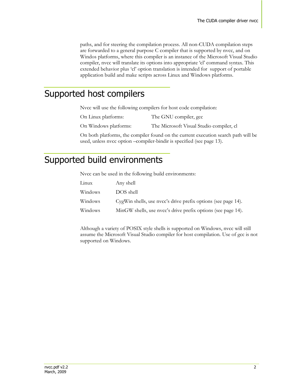paths, and for steering the compilation process. All non-CUDA compilation steps are forwarded to a general purpose C compiler that is supported by nvcc, and on Windos platforms, where this compiler is an instance of the Microsoft Visual Studio compiler, nvcc will translate its options into appropriate "cl" command syntax. This extended behavior plus "cl" option translation is intended for support of portable application build and make scripts across Linux and Windows platforms.

# Supported host compilers

Nvcc will use the following compilers for host code compilation:

- On Linux platforms: The GNU compiler, gcc
- On Windows platforms: The Microsoft Visual Studio compiler, cl

On both platforms, the compiler found on the current execution search path will be used, unless nvcc option –compiler-bindir is specified (see page [13\)](#page-13-0).

## Supported build environments

Nvcc can be used in the following build environments:

| Linux   | Any shell                                                     |
|---------|---------------------------------------------------------------|
| Windows | DOS shell                                                     |
| Windows | CygWin shells, use nvcc's drive prefix options (see page 14). |
| Windows | MinGW shells, use nvcc's drive prefix options (see page 14).  |

Although a variety of POSIX style shells is supported on Windows, nvcc will still assume the Microsoft Visual Studio compiler for host compilation. Use of gcc is not supported on Windows.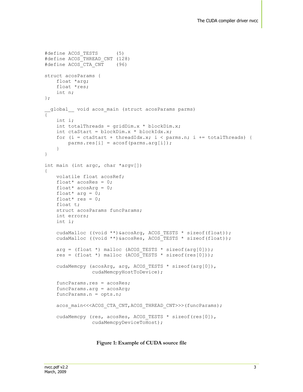```
#define ACOS_TESTS (5)
#define ACOS_THREAD_CNT (128)
#define ACOS_CTA_CNT (96)
struct acosParams {
     float *arg;
     float *res;
    int n;
};
 __global__ void acos_main (struct acosParams parms)
{
     int i;
    int totalThreads = gridDim.x * blockDim.x;int ctaStart = blockDim.x * blockIdx.x;
    for (i = ctaStart + threadIdx.x; i < parms.n; i += totalThreads) {
         parms.res[i] = acosf(parms.arg[i]);
     }
}
int main (int argc, char *argv[])
{
    volatile float acosRef;
   float* acosRes = 0;
    float* acosArg = 0;float* arg = 0;
    float* res = 0;
     float t;
     struct acosParams funcParams;
    int errors;
     int i;
    cudaMalloc ((void **) &acosArg, ACOS TESTS * sizeof(float));
     cudaMalloc ((void **)&acosRes, ACOS_TESTS * sizeof(float));
    arg = (float *) malloc (ACOS TESTS * sizeof(arg[0]));
     res = (float *) malloc (ACOS_TESTS * sizeof(res[0]));
    cudaMemcpy (acosArg, arg, ACOS TESTS * sizeof(arg[0]),
                 cudaMemcpyHostToDevice);
     funcParams.res = acosRes;
     funcParams.arg = acosArg;
     funcParams.n = opts.n;
    acos_main<<<ACOS_CTA_CNT,ACOS_THREAD_CNT>>>(funcParams);
    cudaMemcpy (res, acosRes, ACOS TESTS * sizeof(res[0]),
                 cudaMemcpyDeviceToHost);
```
 **Figure 1: Example of CUDA source file**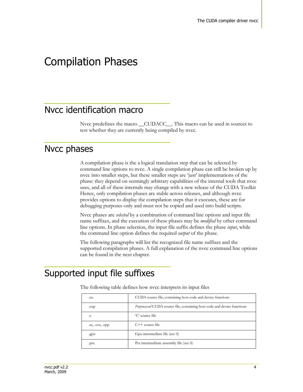# Compilation Phases

## Nvcc identification macro

Nvcc predefines the macro \_\_CUDACC\_\_. This macro can be used in sources to test whether they are currently being compiled by nvcc.

#### Nvcc phases

A compilation phase is the a logical translation step that can be selected by command line options to nvcc. A single compilation phase can still be broken up by nvcc into smaller steps, but these smaller steps are "just" implementations of the phase: they depend on seemingly arbitrary capabilities of the internal tools that nvcc uses, and all of these internals may change with a new release of the CUDA Toolkit Hence, only compilation phases are stable across releases, and although nvcc provides options to display the compilation steps that it executes, these are for debugging purposes only and must not be copied and used into build scripts.

Nvcc phases are *selected* by a combination of command line options and input file name suffixes, and the execution of these phases may be *modified* by other command line options. In phase selection, the input file suffix defines the phase *input*, while the command line option defines the required *output* of the phase.

The following paragraphs will list the recognized file name suffixes and the supported compilation phases. A full explanation of the nvcc command line options can be found in the next chapter.

### Supported input file suffixes

| .cu             | CUDA source file, containing host code and device functions                     |
|-----------------|---------------------------------------------------------------------------------|
| .cup            | <i>Preprocessed</i> CUDA source file, containing host code and device functions |
| .c              | 'C' source file                                                                 |
| .cc, .cxx, .cpp | $C++$ source file                                                               |
| .gpu            | Gpu intermediate file (see 0)                                                   |
| .ptx            | Ptx intermeditate assembly file (see 0)                                         |

The following table defines how nvcc interprets its input files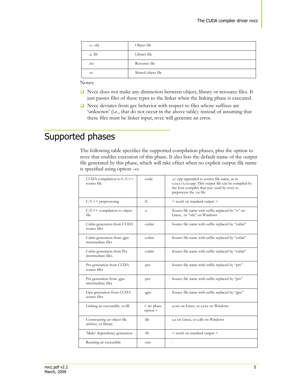| $\alpha$ , $\alpha$ bj | Object file        |
|------------------------|--------------------|
| $a,$ $lib$             | Library file       |
| .res                   | Resource file      |
| .SO                    | Shared object file |

Notes:

- Nvcc does not make any distinction between object, library or resource files. It just passes files of these types to the linker when the linking phase is executed.
- $\Box$  Nvcc deviates from gcc behavior with respect to files whose suffixes are 'unknown' (i.e., that do not occur in the above table): instead of assuming that these files must be linker input, nvcc will generate an error.

# <span id="page-5-0"></span>Supported phases

The following table specifies the supported compilation phases, plus the option to nvcc that enables execution of this phase. It also lists the default name of the output file generated by this phase, which will take effect when no explicit output file name is specified using option –o:

| CUDA compilation to $C/C++$<br>source file         | -cuda                  | .c/.cpp appended to source file name, as in<br>x.cu.c/x.cu.cpp. This output file can be compiled by<br>the host compiler that was used by nvcc to<br>preprocess the .cu file |
|----------------------------------------------------|------------------------|------------------------------------------------------------------------------------------------------------------------------------------------------------------------------|
| $C/C++$ preprocesing                               | -Е.                    | < result on standard output >                                                                                                                                                |
| $C/C++$ compilation to object<br>file.             | $-c$                   | Source file name with suffix replaced by "o" on<br>Linux, or "obj" on Windows                                                                                                |
| Cubin generation from CUDA<br>source files         | -cubin                 | Source file name with suffix replaced by "cubin"                                                                                                                             |
| Cubin generation from .gpu<br>intermediate files   | -cubin                 | Source file name with suffix replaced by "cubin"                                                                                                                             |
| Cubin generation from Ptx<br>intermediate files.   | $\text{-cubin}$        | Source file name with suffix replaced by "cubin"                                                                                                                             |
| Ptx generation from CUDA<br>source files           | $-ptx$                 | Source file name with suffix replaced by "ptx"                                                                                                                               |
| Ptx generation from .gpu<br>intermediate files     | $-ptx$                 | Source file name with suffix replaced by "ptx"                                                                                                                               |
| Gpu generation from CUDA<br>source files           | -gpu                   | Source file name with suffix replaced by "gpu"                                                                                                                               |
| Linking an executable, or dll                      | $<$ no phase<br>option | a.out on Linux, or a.exe on Windows                                                                                                                                          |
| Constructing an object file<br>archive, or library | -lib                   | a.a on Linux, or a.lib on Windows                                                                                                                                            |
| 'Make' dependency generation                       | $-M$                   | < result on standard output >                                                                                                                                                |
| Running an executable                              | -run                   |                                                                                                                                                                              |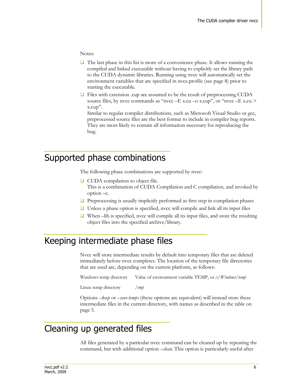#### Notes:

- $\Box$  The last phase in this list is more of a convenience phase. It allows running the compiled and linked executable without having to explicitly set the library path to the CUDA dynamic libraries. Running using nvcc will automatically set the environment variables that are specified in nvcc.profile (see page [8\)](#page-8-0) prior to starting the executable.
- $\Box$  Files with extension .cup are assumed to be the result of preprocessing CUDA source files, by nvcc commands as "nvcc  $-E$  x.cu  $-\alpha$  x.cup", or "nvcc  $-E$  x.cu  $>$ x.cup".

Similar to regular compiler distributions, such as Microsoft Visual Studio or gcc, preprocessed source files are the best format to include in compiler bug reports. They are most likely to contain all information necessary for reproducing the bug.

#### Supported phase combinations

The following phase combinations are supported by nvcc:

- **□** CUDA compilation to object file. This is a combination of CUDA Compilation and C compilation, and invoked by option –c.
- $\Box$  Preprocessing is usually implicitly performed as first step in compilation phases
- $\Box$  Unless a phase option is specified, nvcc will compile and link all its input files
- When –lib is specified, nvcc will compile all its input files, and store the resulting object files into the specified archive/library.

## Keeping intermediate phase files

Nvcc will store intermediate results by default into temporary files that are deleted immediately before nvcc completes. The location of the temporary file directories that are used are, depending on the current platform, as follows:

Windows temp directory Value of environment variable TEMP, or *c:/Windows/temp*

Linux temp directory */tmp*

Options *–keep* or *–save-temps* (these options are equivalent) will instead store these intermediate files in the current directory, with names as described in the table on page [5.](#page-5-0) 

## Cleaning up generated files

All files generated by a particular nvcc command can be cleaned up by repeating the command, but with additional option *–clean*. This option is particularly useful after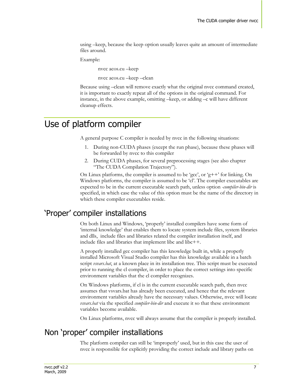using –keep, because the keep option usually leaves quite an amount of intermediate files around.

Example:

nvcc acos.cu –keep

nvcc acos.cu –keep –clean

Because using –clean will remove exactly what the original nvcc command created, it is important to exactly repeat all of the options in the original command. For instance, in the above example, omitting –keep, or adding –c will have different cleanup effects.

## <span id="page-7-0"></span>Use of platform compiler

A general purpose C compiler is needed by nvcc in the following situations:

- 1. During non-CUDA phases (except the run phase), because these phases will be forwarded by nvcc to this compiler
- 2. During CUDA phases, for several preprocessing stages (see also chapter "[The CUDA Compilation Trajectory](#page-18-0)").

On Linux platforms, the compiler is assumed to be 'gcc', or 'g++' for linking. On Windows platforms, the compiler is assumed to be "cl". The compiler executables are expected to be in the current executable search path, unless option *-compiler-bin-dir* is specified, in which case the value of this option must be the name of the directory in which these compiler executables reside.

#### "Proper" compiler installations

On both Linux and Windows, "properly" installed compilers have some form of 'internal knowledge' that enables them to locate system include files, system libraries and dlls, include files and libraries related the compiler installation itself, and include files and libraries that implement libc and libc++.

A properly installed gcc compiler has this knowledge built in, while a properly installed Microsoft Visual Studio compiler has this knowledge available in a batch script *vsvars.bat*, at a known place in its installation tree. This script must be executed prior to running the cl compiler, in order to place the correct settings into specific environment variables that the cl compiler recognizes.

On Windows platforms, if cl is in the current executable search path, then nvcc assumes that vsvars.bat has already been executed, and hence that the relevant environment variables already have the necessary values. Otherwise, nvcc will locate *vsvars.bat* via the specified *compiler-bin-dir* and execute it so that these environment variables become available.

On Linux platforms, nvcc will always assume that the compiler is properly installed.

#### Non "proper" compiler installations

The platform compiler can still be 'improperly' used, but in this case the user of nvcc is responsible for explicitly providing the correct include and library paths on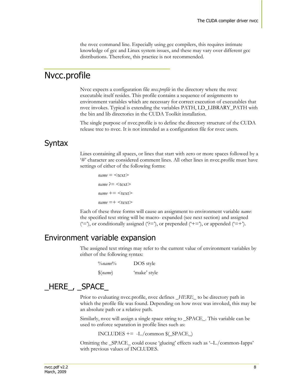the nvcc command line. Especially using gcc compilers, this requires intimate knowledge of gcc and Linux system issues, and these may vary over different gcc distributions. Therefore, this practice is not recommended.

#### <span id="page-8-0"></span>Nvcc.profile

Nvcc expects a configuration file *nvcc.profile* in the directory where the nvcc executable itself resides. This profile contains a sequence of assignments to environment variables which are necessary for correct execution of executables that nvcc invokes. Typical is extending the variables PATH, LD\_LIBRARY\_PATH with the bin and lib directories in the CUDA Toolkit installation.

The single purpose of nvcc.profile is to define the directory structure of the CUDA release tree to nvcc. It is not intended as a configuration file for nvcc users.

#### Syntax

Lines containing all spaces, or lines that start with zero or more spaces followed by a "#" character are considered comment lines. All other lines in nvcc.profile must have settings of either of the following forms:

 $name =$  $name$  ?=  $<$ text>  $name += <$ text>  $name =+ text$ 

Each of these three forms will cause an assignment to environment variable *name*: the specified text string will be macro- expanded (see next section) and assigned  $('=')$ , or conditionally assigned  $('=')$ , or prepended  $('=')$ , or appended  $('=+)$ .

#### Environment variable expansion

The assigned text strings may refer to the current value of environment variables by either of the following syntax:

| $\%name\%$ | DOS style    |
|------------|--------------|
| \$(name)   | 'make' style |

### \_HERE\_, \_SPACE\_

Prior to evaluating nvcc.profile, nvcc defines *\_HERE\_* to be directory path in which the profile file was found. Depending on how nvcc was invoked, this may be an absolute path or a relative path.

Similarly, nvcc will assign a single space string to \_SPACE\_. This variable can be used to enforce separation in profile lines such as:

 $INCLUDES += -I.$ /common  $$(SPACE_)$ 

Omitting the \_SPACE\_ could couse "glueing" effects such as "–I../common-Iapps" with previous values of INCLUDES.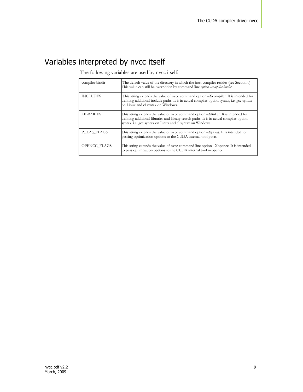# Variables interpreted by nvcc itself

| compiler-bindir  | The default value of the directory in which the host compiler resides (see Section 0).<br>This value can still be overridden by command line option -compiler-bindir                                                                       |
|------------------|--------------------------------------------------------------------------------------------------------------------------------------------------------------------------------------------------------------------------------------------|
| <b>INCLUDES</b>  | This string extends the value of nvcc command option -Xcompiler. It is intended for<br>defining additional include paths. It is in actual compiler option syntax, i.e. gcc syntax<br>on Linux and cl syntax on Windows.                    |
| <b>LIBRARIES</b> | This string extends the value of nvcc command option -Xlinker. It is intended for<br>defining additional libraries and library search paths. It is in actual compiler option<br>syntax, i.e. gcc syntax on Linux and cl syntax on Windows. |
| PTXAS FLAGS      | This string extends the value of nvcc command option -Xptxas. It is intended for<br>passing optimization options to the CUDA internal tool ptxas.                                                                                          |
| OPENCC FLAGS     | This string extends the value of nvcc command line option -Xopence. It is intended<br>to pass optimization options to the CUDA internal tool nyopence.                                                                                     |

The following variables are used by nvcc itself: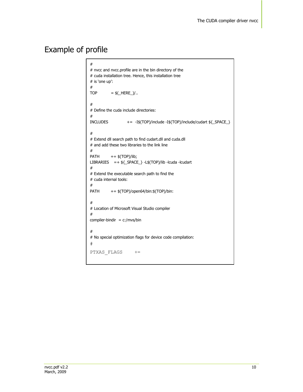# Example of profile

| #                                                                            |  |  |  |
|------------------------------------------------------------------------------|--|--|--|
| # nvcc and nvcc.profile are in the bin directory of the                      |  |  |  |
| # cuda installation tree. Hence, this installation tree                      |  |  |  |
| # is 'one up':                                                               |  |  |  |
| #                                                                            |  |  |  |
|                                                                              |  |  |  |
| $=$ \$( HERE )/<br><b>TOP</b>                                                |  |  |  |
|                                                                              |  |  |  |
| #                                                                            |  |  |  |
| # Define the cuda include directories:                                       |  |  |  |
| #                                                                            |  |  |  |
| <b>INCLUDES</b><br>+= -I\$(TOP)/include -I\$(TOP)/include/cudart \${_SPACE_} |  |  |  |
|                                                                              |  |  |  |
| #                                                                            |  |  |  |
| # Extend dll search path to find cudart.dll and cuda.dll                     |  |  |  |
| # and add these two libraries to the link line                               |  |  |  |
| #                                                                            |  |  |  |
| <b>PATH</b><br>$+=$ \$(TOP)/lib;                                             |  |  |  |
| LIBRARIES =+ \${_SPACE_} -L\$(TOP)/lib -lcuda -lcudart                       |  |  |  |
| #                                                                            |  |  |  |
| # Extend the executable search path to find the                              |  |  |  |
| # cuda internal tools:                                                       |  |  |  |
|                                                                              |  |  |  |
| #                                                                            |  |  |  |
| += \$(TOP)/open64/bin:\$(TOP)/bin:<br><b>PATH</b>                            |  |  |  |
|                                                                              |  |  |  |
| #                                                                            |  |  |  |
| # Location of Microsoft Visual Studio compiler                               |  |  |  |
| #                                                                            |  |  |  |
| compiler-bindir = $c$ :/mvs/bin                                              |  |  |  |
|                                                                              |  |  |  |
| #                                                                            |  |  |  |
| # No special optimization flags for device code compilation:                 |  |  |  |
| #                                                                            |  |  |  |
|                                                                              |  |  |  |
| PTXAS FLAGS<br>$+=$                                                          |  |  |  |
|                                                                              |  |  |  |
|                                                                              |  |  |  |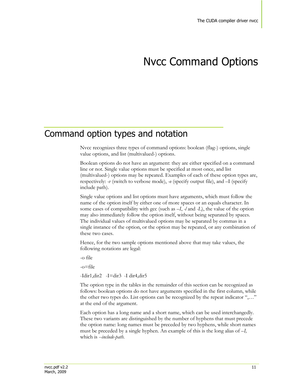# Nvcc Command Options

#### Command option types and notation

Nvcc recognizes three types of command options: boolean (flag-) options, single value options, and list (multivalued-) options.

Boolean options do not have an argument: they are either specified on a command line or not. Single value options must be specified at most once, and list (multivalued-) options may be repeated. Examples of each of these option types are, respectively: *-v* (switch to verbose mode), *-o* (specify output file), and –I (specify include path).

Single value options and list options must have arguments, which must follow the name of the option itself by either one of more spaces or an equals character. In some cases of compatibility with gcc (such as *–I*, *-l* and *-L*), the value of the option may also immediately follow the option itself, without being separated by spaces. The individual values of multivalued options may be separated by commas in a single instance of the option, or the option may be repeated, or any combination of these two cases.

Hence, for the two sample options mentioned above that may take values, the following notations are legal:

-o file

-o=file

-Idir1,dir2 -I=dir3 -I dir4,dir5

The option type in the tables in the remainder of this section can be recognized as follows: boolean options do not have arguments specified in the first column, while the other two types do. List options can be recognized by the repeat indicator ",…" at the end of the argument.

Each option has a long name and a short name, which can be used interchangedly. These two variants are distinguished by the number of hyphens that must precede the option name: long names must be preceded by two hyphens, while short names must be preceded by a single hyphen. An example of this is the long alias of *–I,*  which is *--include-path.*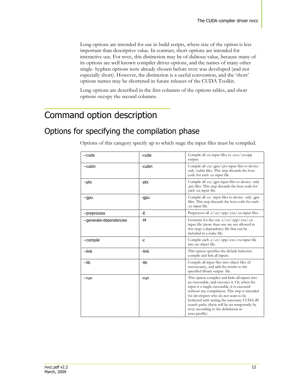Long options are intended for use in build scripts, where size of the option is less important than descriptive value. In contrast, short options are intended for interactive use. For nvcc, this distinction may be of dubious value, because many of its options are well known compiler driver options, and the names of many other single- hyphen options were already chosen before nvcc was developed (and not especially short). However, the distinction is a useful convention, and the "short" options names may be shortened in future releases of the CUDA Toolkit.

Long options are described in the first columns of the options tables, and short options occupy the second columns.

# Command option description

## Options for specifying the compilation phase

| --cuda                  | -cuda  | Compile all .cu input files to .cu.c/ .cu.cpp<br>output.                                                                                                                                                                                                                                                                                                                                             |
|-------------------------|--------|------------------------------------------------------------------------------------------------------------------------------------------------------------------------------------------------------------------------------------------------------------------------------------------------------------------------------------------------------------------------------------------------------|
| --cubin                 | -cubin | Compile all .cu/.gpu/.ptx input files to device-<br>only cubin files. This step discards the host<br>code for each .cu input file.                                                                                                                                                                                                                                                                   |
| --ptx                   | -ptx   | Compile all .cu/.gpu input files to device- only<br>ptx files. This step discards the host code for<br>each .cu input file.                                                                                                                                                                                                                                                                          |
| --gpu                   | -gpu   | Compile all cu input files to device- only gpu<br>files. This step discards the host code for each<br>.cu input file.                                                                                                                                                                                                                                                                                |
| --preprocess            | -E     | Preprocess all .c/.cc/.cpp/.cxx/.cu input files.                                                                                                                                                                                                                                                                                                                                                     |
| --generate-dependencies | -M     | Generate for the one .c/.cc/.cpp/.cxx/.cu<br>input file (more than one are not allowed in<br>this step) a dependency file that can be<br>included in a make file.                                                                                                                                                                                                                                    |
| --compile               | -C     | Compile each .c/.cc/.cpp/.cxx/.cu input file<br>into an object file.                                                                                                                                                                                                                                                                                                                                 |
| --link                  | -link  | This option specifies the default behavior:<br>compile and link all inputs.                                                                                                                                                                                                                                                                                                                          |
| --lib                   | -lib   | Compile all input files into object files (if<br>necessesary), and add the results to the<br>specified library output file.                                                                                                                                                                                                                                                                          |
| --run                   | -run   | This option compiles and links all inputs into<br>an executable, and executes it. Or, when the<br>input is a single executable, it is executed<br>without any compilation. This step is intended<br>for developers who do not want to be<br>bothered with setting the necessary CUDA dll<br>search paths (these will be set temporarily by<br>nvcc according to the definitions in<br>nvcc.profile). |

Options of this category specify up to which stage the input files must be compiled.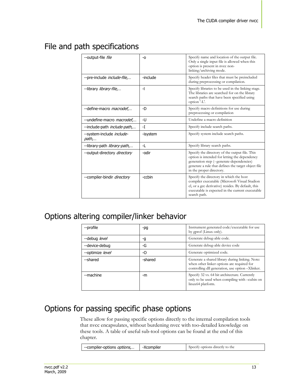### <span id="page-13-0"></span>File and path specifications

| --output-file file                  | $-0$     | Specify name and location of the output file.<br>Only a single input file is allowed when this<br>option is present in nvcc non-<br>linking/archiving mode.                                                                     |
|-------------------------------------|----------|---------------------------------------------------------------------------------------------------------------------------------------------------------------------------------------------------------------------------------|
| --pre-include <i>include-file</i> , | -include | Specify header files that must be preincluded<br>during preprocessing or compilation.                                                                                                                                           |
| --library library-file,             | -1       | Specify libraries to be used in the linking stage.<br>The libraries are searched for on the library<br>search paths that have been specified using<br>option '-L'.                                                              |
| --define-macro macrodef             | -D       | Specify macro definitions for use during<br>preprocessing or compilation                                                                                                                                                        |
| --undefine-macro macrodef,          | -U       | Undefine a macro definition                                                                                                                                                                                                     |
| --include-path include-path,        | -I       | Specify include search paths.                                                                                                                                                                                                   |
| --system-include include-<br>path,  | -isystem | Specify system include search paths.                                                                                                                                                                                            |
| --library-path library-path,        | -1       | Specify library search paths.                                                                                                                                                                                                   |
| --output-directory directory        | -odir    | Specify the directory of the output file. This<br>option is intended for letting the dependency<br>generation step (--generate-dependencies)<br>generate a rule that defines the target object file<br>in the proper directory. |
| --compiler-bindir <i>directory</i>  | -ccbin   | Specify the directory in which the host<br>compiler executable (Microsoft Visual Studion<br>cl, or a gcc derivative) resides. By default, this<br>executable is expected in the current executable<br>search path.              |

### Options altering compiler/linker behavior

| --profile        | -pg     | Instrument generated code/executable for use<br>by gprof (Linux only).                                                                            |
|------------------|---------|---------------------------------------------------------------------------------------------------------------------------------------------------|
| --debug level    | -g      | Generate debug-able code.                                                                                                                         |
| --device-debug   | -G      | Generate debug-able device code                                                                                                                   |
| --optimize level | -0      | Generate optimized code.                                                                                                                          |
| --shared         | -shared | Generate a shared library during linking. Note:<br>when other linker options are required for<br>controlling dll generation, use option -Xlinker. |
| --machine        | -m      | Specify 32 vs. 64 bit architecture. Currently<br>only to be used when compiling with -cubin on<br>linux64 platform.                               |

### Options for passing specific phase options

These allow for passing specific options directly to the internal compilation tools that nvcc encapsulates, without burdening nvcc with too-detailed knowledge on these tools. A table of useful sub-tool options can be found at the end of this chapter.

| --compiler-options <i>options</i> , | -Xcompiler | Specify options directly to the |
|-------------------------------------|------------|---------------------------------|
|-------------------------------------|------------|---------------------------------|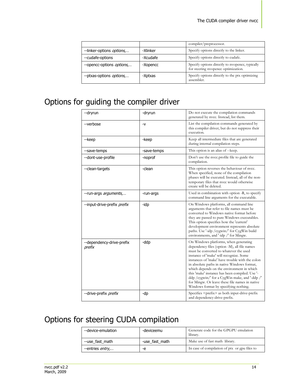|                                   |          | compiler/preprocessor.                                                                 |
|-----------------------------------|----------|----------------------------------------------------------------------------------------|
| --linker-options <i>options</i> , | -Xlinker | Specify options directly to the linker.                                                |
| --cudafe-options                  | -Xcudafe | Specify options directly to cudafe.                                                    |
| --opencc-options <i>options</i> , | -Xopencc | Specify options directly to nyopence, typically<br>for steering nyopencc optimization. |
| --ptxas-options <i>options</i> ,  | -Xptxas  | Specify options directly to the ptx optimizing<br>assembler.                           |

# <span id="page-14-0"></span>Options for guiding the compiler driver

| --dryrun                            | -dryrun     | Do not execute the compilation commands<br>generated by nvcc. Instead, list them.                                                                                                                                                                                                                                                                                                                                                                                                                                        |
|-------------------------------------|-------------|--------------------------------------------------------------------------------------------------------------------------------------------------------------------------------------------------------------------------------------------------------------------------------------------------------------------------------------------------------------------------------------------------------------------------------------------------------------------------------------------------------------------------|
| --verbose                           | -v          | List the compilation commands generated by<br>this compiler driver, but do not suppress their<br>execution.                                                                                                                                                                                                                                                                                                                                                                                                              |
| --keep                              | -keep       | Keep all intermediate files that are generated<br>during internal compilation steps.                                                                                                                                                                                                                                                                                                                                                                                                                                     |
| --save-temps                        | -save-temps | This option is an alias of --keep.                                                                                                                                                                                                                                                                                                                                                                                                                                                                                       |
| --dont-use-profile                  | -noprof     | Don't use the nvcc.profile file to guide the<br>compilation.                                                                                                                                                                                                                                                                                                                                                                                                                                                             |
| --clean-targets                     | -clean      | This option reverses the behaviour of nvcc.<br>When specified, none of the compilation<br>phases will be executed. Instead, all of the non-<br>temporary files that nvcc would otherwise<br>create will be deleted.                                                                                                                                                                                                                                                                                                      |
| --run-args arguments,               | -run-args   | Used in combination with option -R, to specify<br>command line arguments for the executable.                                                                                                                                                                                                                                                                                                                                                                                                                             |
| --input-drive-prefix prefix         | -idp        | On Windows platforms, all command line<br>arguments that refer to file names must be<br>converted to Windows native format before<br>they are passed to pure Windows executables.<br>This option specifies how the 'current'<br>development environment represents absolute<br>paths. Use '-idp / cygwin/' for CygWin build<br>environments, and '-idp /' for Mingw.                                                                                                                                                     |
| --dependency-drive-prefix<br>prefix | -ddp        | On Windows platforms, when generating<br>dependency files (option -M), all file names<br>must be converted to whatever the used<br>instance of 'make' will recognize. Some<br>instances of 'make' have trouble with the colon<br>in absolute paths in native Windows format,<br>which depends on the environment in which<br>this 'make' instance has been compiled. Use '-<br>ddp / cygwin/' for a CygWin make, and '-ddp /'<br>for Mingw. Or leave these file names in native<br>Windows format by specifying nothing. |
| --drive-prefix <i>prefix</i>        | -dp         | Specifies <prefix> as both input-drive-prefix<br/>and dependency-drive-prefix.</prefix>                                                                                                                                                                                                                                                                                                                                                                                                                                  |

# Options for steering CUDA compilation

| --device-emulation      | -deviceemu     | Generate code for the GPGPU emulation<br>library. |
|-------------------------|----------------|---------------------------------------------------|
| --use fast math         | -use fast math | Make use of fast math library.                    |
| --entries <i>entry,</i> | -e             | In case of compilation of ptx or gpu files to     |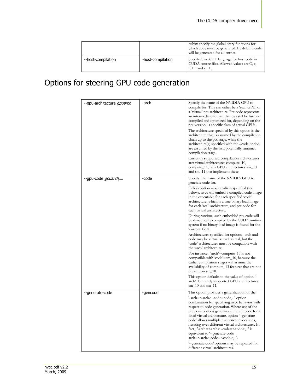|                    |                   | cubin: specify the global entry functions for<br>which code must be generated. By default, code<br>will be generated for all entries. |
|--------------------|-------------------|---------------------------------------------------------------------------------------------------------------------------------------|
| --host-compilation | -host-compilation | Specify C vs. $C++$ language for host code in<br>CUDA source files. Allowed values are C, c,<br>$C++$ and $c++$ .                     |

# Options for steering GPU code generation

| --gpu-architecture <i>gpuarch</i> | -arch    | Specify the name of the NVIDIA GPU to<br>compile for. This can either be a 'real' GPU, or<br>a 'virtual' ptx architecture. Ptx code represents<br>an intermediate format that can still be further<br>compiled and optimized for, depending on the<br>ptx version, a specific class of actual GPUs.<br>The architecture specified by this option is the<br>architecture that is assumed by the compilation<br>chain up to the ptx stage, while the<br>architecture(s) specified with the -code option<br>are assumed by the last, potentially runtime,<br>compilation stage.<br>Currently supported compilation architectures<br>are: virtual architectures compute_10,<br>compute_11, plus GPU architectures sm_10<br>and sm_11 that implement these.                                                                                                                                                                                                                                                                                |
|-----------------------------------|----------|---------------------------------------------------------------------------------------------------------------------------------------------------------------------------------------------------------------------------------------------------------------------------------------------------------------------------------------------------------------------------------------------------------------------------------------------------------------------------------------------------------------------------------------------------------------------------------------------------------------------------------------------------------------------------------------------------------------------------------------------------------------------------------------------------------------------------------------------------------------------------------------------------------------------------------------------------------------------------------------------------------------------------------------|
| --gpu-code <i>gpuarch,</i>        | -code    | Specify the name of the NVIDIA GPU to<br>generate code for.<br>Unless option – export-dir is specified (see<br>below), nvcc will embed a compiled code image<br>in the executable for each specified 'code'<br>architecture, which is a true binary load image<br>for each 'real' architecture, and ptx code for<br>each virtual architecture.<br>During runtime, such embedded ptx code will<br>be dynamically compiled by the CUDA runtime<br>system if no binary load image is found for the<br>'current' GPU.<br>Architectures specified for options –arch and –<br>code may be virtual as well as real, but the<br>'code' architectures must be compatible with<br>the 'arch' architecture.<br>For instance, 'arch'=compute_13 is not<br>compatible with 'code'=sm_10, because the<br>earlier compilation stages will assume the<br>availability of compute_13 features that are not<br>present on sm_10.<br>This option defaults to the value of option '-<br>arch'. Currently supported GPU architectures:<br>sm_10 and sm_11. |
| --generate-code                   | -gencode | This option provides a generalization of the<br>'-arch= <arch> -code=code,' option<br/>combination for specifying nvcc behavior with<br/>respect to code generation. Where use of the<br/>previous options generates different code for a<br/>fixed virtual architecture, option '--generate-<br/>code' allows multiple nvopencc invocations,<br/>iterating over different virtual architectures. In<br/>fact, '-arch=<arch> -code=<code>,' is<br/>equivalent to '--generate-code<br/>arch=<arch>,code=<code>,'.<br/>--generate-code' options may be repeated for<br/>different virtual architectures.</code></arch></code></arch></arch>                                                                                                                                                                                                                                                                                                                                                                                             |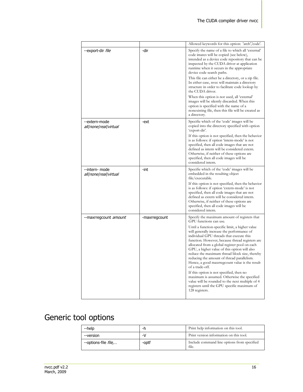|                                         |               | Allowed keywords for this option: 'arch','code'.                                                                                                                                                                                                                                                                                                                                                                                                                                                              |
|-----------------------------------------|---------------|---------------------------------------------------------------------------------------------------------------------------------------------------------------------------------------------------------------------------------------------------------------------------------------------------------------------------------------------------------------------------------------------------------------------------------------------------------------------------------------------------------------|
| --export-dir <i>file</i>                | -dir          | Specify the name of a file to which all 'external'<br>code imates will be copied (see below),<br>intended as a device code repository that can be<br>inspected by the CUDA driver at application<br>runtime when it occurs in the appropriate<br>device code search paths.<br>This file can either be a directory, or a zip file.                                                                                                                                                                             |
|                                         |               | In either case, nvcc will maintain a directory<br>structure in order to facilitate code lookup by<br>the CUDA driver.                                                                                                                                                                                                                                                                                                                                                                                         |
|                                         |               | When this option is not used, all 'external'<br>images will be silently discarded. When this<br>option is specified with the name of a<br>nonexisting file, then this file will be created as<br>a directory.                                                                                                                                                                                                                                                                                                 |
| --extern-mode<br>all/none/real/virtual  | -ext          | Specifie which of the 'code' images will be<br>copied into the directory specified with option<br>'export-dir'.                                                                                                                                                                                                                                                                                                                                                                                               |
|                                         |               | If this option is not specified, then the behavior<br>is as follows: if option 'intern-mode' is not<br>specified, then all code images that are not<br>defined as intern will be considered extern.<br>Otherwise, if neither of these options are<br>specified, then all code images will be<br>considered intern.                                                                                                                                                                                            |
| --intern- mode<br>all none real virtual | -int          | Specifie which of the 'code' images will be<br>embedded in the resulting object<br>file/executable.                                                                                                                                                                                                                                                                                                                                                                                                           |
|                                         |               | If this option is not specified, then the behavior<br>is as follows: if option 'extern-mode' is not<br>specified, then all code images that are not<br>defined as extern will be considered intern.<br>Otherwise, if neither of these options are<br>specified, then all code images will be<br>considered intern.                                                                                                                                                                                            |
| --maxrregcount amount                   | -maxrregcount | Specify the maximum amount of registers that<br>GPU functions can use.                                                                                                                                                                                                                                                                                                                                                                                                                                        |
|                                         |               | Until a function-specific limit, a higher value<br>will generally increase the performance of<br>individual GPU threads that execute this<br>function. However, because thread registers are<br>allocated from a global register pool on each<br>GPU, a higher value of this option will also<br>reduce the maximum thread block size, thereby<br>reducing the amount of thread parallelism.<br>Hence, a good maxrregcount value is the result<br>of a trade-off.<br>If this option is not specified, then no |
|                                         |               | maximum is assumed. Otherwise the specified<br>value will be rounded to the next multiple of 4<br>registers until the GPU specific maximum of<br>128 registers.                                                                                                                                                                                                                                                                                                                                               |

# Generic tool options

| --help                      |       | Print help information on this tool.                 |
|-----------------------------|-------|------------------------------------------------------|
| --version                   | -V    | Print version information on this tool.              |
| --options-file <i>file,</i> | -optf | Include command line options from specified<br>file. |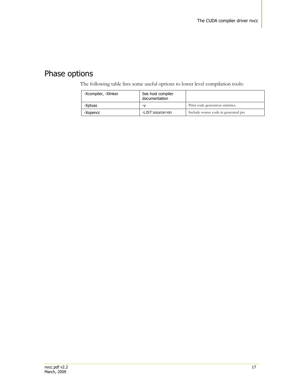# Phase options

The following table lists some useful options to lower level compilation tools:

<span id="page-17-0"></span>

| -Xcompiler, -Xlinker | See host compiler<br>documentation |                                      |
|----------------------|------------------------------------|--------------------------------------|
| -Xptxas              | -v                                 | Print code generation statistics.    |
| -Xopencc             | -LIST:source=on                    | Include source code in generated ptx |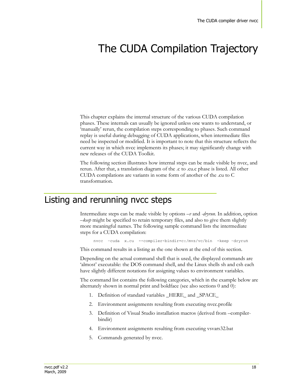# <span id="page-18-0"></span>The CUDA Compilation Trajectory

This chapter explains the internal structure of the various CUDA compilation phases. These internals can usually be ignored unless one wants to understand, or 'manually' rerun, the compilation steps corresponding to phases. Such command replay is useful during debugging of CUDA applications, when intermediate files need be inspected or modified. It is important to note that this structure reflects the current way in which nvcc implements its phases; it may significantly change with new releases of the CUDA Toolkit.

The following section illustrates how internal steps can be made visible by nvcc, and rerun. After that, a translation diagram of the .c to .cu.c phase is listed. All other CUDA compilations are variants in some form of another of the .cu to C transformation.

#### Listing and rerunning nvcc steps

Intermediate steps can be made visible by options *–v* and *-dryrun*. In addition, option *–keep* might be specified to retain temporary files, and also to give them slightly more meaningful names. The following sample command lists the intermediate steps for a CUDA compilation:

nvcc –cuda x.cu --compiler-bindir=c:/mvs/vc/bin -keep –dryrun

This command results in a listing as the one shown at the end of this section.

Depending on the actual command shell that is used, the displayed commands are 'almost' executable: the DOS command shell, and the Linux shells sh and csh each have slightly different notations for assigning values to environment variables.

The command list contains the following categories, which in the example below are alternately shown in normal print and boldface (see also sections [0](#page-7-0) an[d 0\)](#page-8-0):

- 1. Definition of standard variables HERE and SPACE
- 2. Environment assignments resulting from executing nvcc.profile
- 3. Definition of Visual Studio installation macros (derived from –compilerbindir)
- 4. Environment assignments resulting from executing vsvars32.bat
- 5. Commands generated by nvcc.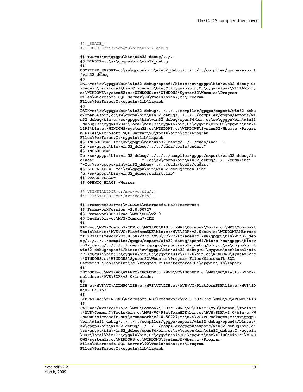```
#$ HERE =c:\sw\gpgpu\bin\win32 debug
#$ TOP=c:\sw\gpgpu\bin\win32_debug/../..
#$ BINDIR=c:\sw\gpgpu\bin\win32_debug
#$ 
COMPILER_EXPORT=c:\sw\gpgpu\bin\win32_debug/../../../compiler/gpgpu/export
/win32_debug
#$ 
PATH=c:\sw\gpgpu\bin\win32_debug/open64/bin;c:\sw\gpgpu\bin\win32_debug;C:
\cygwin\usr\local\bin;C:\cygwin\bin;C:\cygwin\bin;C:\cygwin\usr\X11R6\bin;
c:\WINDOWS\system32;c:\WINDOWS;c:\WINDOWS\System32\Wbem;c:\Program 
Files\Microsoft SQL Server\90\Tools\binn\;c:\Program 
Files\Perforce;C:\cygwin\lib\lapack
#$ 
PATH=c:\sw\gpgpu\bin\win32_debug/../../../compiler/gpgpu/export/win32_debu
g/open64/bin;c:\sw\gpgpu\bin\win32_debug/../../../compiler/gpgpu/export/wi
n32_debug/bin;c:\sw\gpgpu\bin\win32_debug/open64/bin;c:\sw\gpgpu\bin\win32
_debug;C:\cygwin\usr\local\bin;C:\cygwin\bin;C:\cygwin\bin;C:\cygwin\usr\X
11R6\bin;c:\WINDOWS\system32;c:\WINDOWS;c:\WINDOWS\System32\Wbem;c:\Progra
m Files\Microsoft SQL Server\90\Tools\binn\;c:\Program 
Files\Perforce;C:\cygwin\lib\lapack
#$ INCLUDES="-Ic:\sw\gpgpu\bin\win32_debug/../../cuda/inc" "-
Ic:\sw\gpgpu\bin\win32_debug/../../cuda/tools/cudart" 
#$ INCLUDES="-
Ic:\sw\gpgpu\bin\win32_debug/../../../compiler/gpgpu/export/win32_debug/in
clude" "-Ic:\sw\gpgpu\bin\win32_debug/../../cuda/inc"
"-Ic:\sw\gpgpu\bin\win32_debug/../../cuda/tools/cudart" 
#$ LIBRARIES= "c:\sw\gpgpu\bin\win32_debug/cuda.lib" 
"c:\sw\gpgpu\bin\win32_debug/cudart.lib"
#$ PTXAS_FLAGS=
#$ OPENCC_FLAGS=-Werror 
#$ VSINSTALLDIR=c:/mvs/vc/bin/..
#$ VCINSTALLDIR=c:/mvs/vc/bin/..
#$ FrameworkDir=c:\WINDOWS\Microsoft.NET\Framework
#$ FrameworkVersion=v2.0.50727
#$ FrameworkSDKDir=c:\MVS\SDK\v2.0
#$ DevEnvDir=c:\MVS\Common7\IDE
#$ 
PATH=c:\MVS\Common7\IDE;c:\MVS\VC\BIN;c:\MVS\Common7\Tools;c:\MVS\Common7\
Tools\bin;c:\MVS\VC\PlatformSDK\bin;c:\MVS\SDK\v2.0\bin;c:\WINDOWS\Microso
ft.NET\Framework\v2.0.50727;c:\MVS\VC\VCPackages;c:\sw\gpgpu\bin\win32_deb
ug/../../../compiler/gpgpu/export/win32_debug/open64/bin;c:\sw\gpgpu\bin\w
in32_debug/../../../compiler/gpgpu/export/win32_debug/bin;c:\sw\gpgpu\bin\
win32_debug/open64/bin;c:\sw\gpgpu\bin\win32_debug;C:\cygwin\usr\local\bin
;C:\cygwin\bin;C:\cygwin\bin;C:\cygwin\usr\X11R6\bin;c:\WINDOWS\system32;c
:\WINDOWS;c:\WINDOWS\System32\Wbem;c:\Program Files\Microsoft SQL 
Server\90\Tools\binn\;c:\Program Files\Perforce;C:\cygwin\lib\lapack
#$ 
INCLUDE=c:\MVS\VC\ATLMFC\INCLUDE;c:\MVS\VC\INCLUDE;c:\MVS\VC\PlatformSDK\i
nclude;c:\MVS\SDK\v2.0\include;
#$ 
LIB=c:\MVS\VC\ATLMFC\LIB;c:\MVS\VC\LIB;c:\MVS\VC\PlatformSDK\lib;c:\MVS\SD
K\v2.0\lib;
#$ 
LIBPATH=c:\WINDOWS\Microsoft.NET\Framework\v2.0.50727;c:\MVS\VC\ATLMFC\LIB
#$ 
PATH=c:/mvs/vc/bin;c:\MVS\Common7\IDE;c:\MVS\VC\BIN;c:\MVS\Common7\Tools;c
:\MVS\Common7\Tools\bin;c:\MVS\VC\PlatformSDK\bin;c:\MVS\SDK\v2.0\bin;c:\W
INDOWS\Microsoft.NET\Framework\v2.0.50727;c:\MVS\VC\VCPackages;c:\sw\gpgpu
\bin\win32_debug/../../../compiler/gpgpu/export/win32_debug/open64/bin;c:\
sw\gpgpu\bin\win32_debug/../../../compiler/gpgpu/export/win32_debug/bin;c:
\sw\gpgpu\bin\win32_debug/open64/bin;c:\sw\gpgpu\bin\win32_debug;C:\cygwin
\usr\local\bin;C:\cygwin\bin;C:\cygwin\bin;C:\cygwin\usr\X11R6\bin;c:\WIND
OWS\system32;c:\WINDOWS;c:\WINDOWS\System32\Wbem;c:\Program 
Files\Microsoft SQL Server\90\Tools\binn\;c:\Program
```

```
Files\Perforce;C:\cygwin\lib\lapack
```
 $#$ \$ SPACE =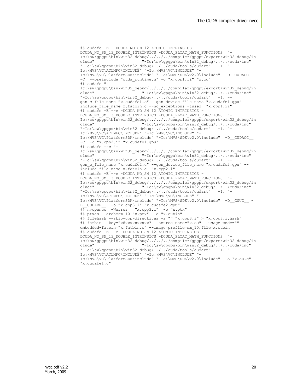```
#$ cudafe -E -DCUDA_NO_SM_12_ATOMIC_INTRINSICS -
DCUDA NO SM_13_DOUBLE_INTRINSICS -DCUDA_FLOAT_MATH_FUNCTIONS "-
Ic:\sw\gpgpu\bin\win32_debug/../../../compiler/gpgpu/export/win32_debug/in
clude" "-Ic:\sw\gpgpu\bin\win32_debug/../../cuda/inc"
"-Ic:\sw\gpgpu\bin\win32_debug/../../cuda/tools/cudart" -I. "-
Ic:\MVS\VC\ATLMFC\INCLUDE" "-Ic:\MVS\VC\INCLUDE" "-
Ic:\MVS\VC\PlatformSDK\include" "-Ic:\MVS\SDK\v2.0\include" -D__CUDACC__ 
-C --preinclude "cuda_runtime.h" -o "x.cpp1.ii" "x.cu" 
#S cudafe "-
Ic:\sw\gpgpu\bin\win32_debug/../../../compiler/gpgpu/export/win32_debug/include" "-Ic:\sw\gpqpu\bin\win32 debug/../../cuda/inc"
                           "-Ic:\sw\gpgpu\bin\win32_debug/../../cuda/inc"
"-Ic:\sw\gpgpu\bin\win32_debug/../../cuda/tools/cudart" -I. --
gen c file name "x.cudafe1.c" --gen device file name "x.cudafe1.gpu" --
include_file_name x.fatbin.c --no_exceptions -tused "x.cpp1.ii" 
#$ cudafe -E --c -DCUDA NO SM_12 ATOMIC INTRINSICS -
DCUDA_NO_SM_13_DOUBLE_INTRINSICS -DCUDA_FLOAT_MATH_FUNCTIONS "-
Ic:\sw\gpgpu\bin\win32_debug/../../../compiler/gpgpu/export/win32_debug/in
clude" - Thetastery of the Community of the Magnetic Material of the Magnetic Magnetic Magnetic Magnetic Magnetic Magnetic Magnetic Magnetic Magnetic Magnetic Magnetic Magnetic Magnetic Magnetic Magnetic Magnetic Magnetic 
"-Ic:\sw\gpgpu\bin\win32_debug/../../cuda/tools/cudart"
Ic:\MVS\VC\ATLMFC\INCLUDE" "-Ic:\MVS\VC\INCLUDE" "-
Ic:\MVS\VC\PlatformSDK\include" "-Ic:\MVS\SDK\v2.0\include" -D__CUDACC__________
-C -o "x.cpp2.i" "x.cudafe1.gpu" 
\sharp$ cudafe \leftarrow "-
Ic:\sw\gpgpu\bin\win32_debug/../../../compiler/gpgpu/export/win32_debug/in
clude" "-Ic:\sw\gpgpu\bin\win32_debug/../../cuda/inc"
"-Ic:\sw\gpgpu\bin\win32_debug/../../cuda/tools/cudart" -I. --
gen_c_file_name "x.cudafe2.c" --gen_device_file_name "x.cudafe2.gpu" --
include_file_name x.fatbin.c "x.cpp2.i" 
#$ cudafe -E --c -DCUDA NO SM_12 ATOMIC INTRINSICS -
DCUDA_NO_SM_13_DOUBLE_INTRINSICS -DCUDA_FLOAT_MATH_FUNCTIONS "-
Ic:\sw\gpgpu\bin\win32_debug/../../../compiler/gpgpu/export/win32_debug/in
clude" "-Ic:\sw\gpgpu\bin\win32_debug/../../cuda/inc"
"-Ic:\sw\gpgpu\bin\win32 debug/../../cuda/tools/cudart" -I.
Ic:\MVS\VC\ATLMFC\INCLUDE" "-Ic:\MVS\VC\INCLUDE" "-
Ic:\MVS\VC\PlatformSDK\include" "-Ic:\MVS\SDK\v2.0\include" -D_GNUC -
D__CUDABE__ -o "x.cpp3.i" "x.cudafe2.gpu" 
#$ nvopencc -Werror "x.cpp3.i" -o "x.ptx"
#$ ptxas -arch=sm_10 "x.ptx" -o "x.cubin" 
#$ filehash --skip-cpp-directives -s "" "x.cpp3.i" > "x.cpp3.i.hash"
#$ fatbin --key="x@xxxxxxxxxx" --source-name="x.cu" --usage-mode="" --
embedded-fatbin="x.fatbin.c" --image=profile=sm_10,file=x.cubin 
#$ cudafe -E --c -DCUDA_NO_SM_12_ATOMIC_INTRINSICS -
DCUDA NO SM 13 DOUBLE INTRINSICS -DCUDA FLOAT MATH FUNCTIONS "-
Ic:\sw\gpgpu\bin\win32_debug/../../../compiler/gpgpu/export/win32_debug/in
clude" "-Ic:\sw\gpgpu\bin\win32_debug/../../cuda/inc"
"-Ic:\sw\gpgpu\bin\win32_debug/../../cuda/tools/cudart" -I. "-
Ic:\MVS\VC\ATLMFC\INCLUDE" "-Ic:\MVS\VC\INCLUDE" "-
Ic:\MVS\VC\PlatformSDK\include" "-Ic:\MVS\SDK\v2.0\include" -o "x.cu.c" 
"x.cudafe1.c"
```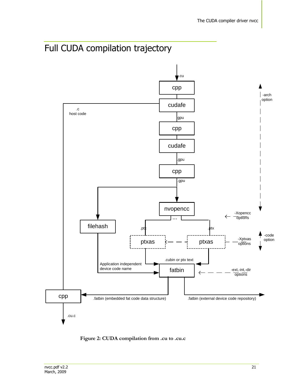



**Figure 2: CUDA compilation from .cu to .cu.c**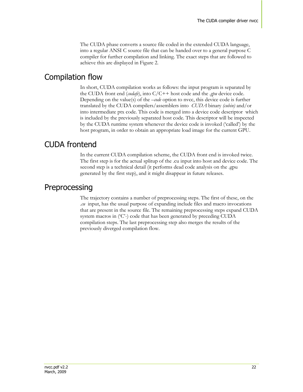The CUDA phase converts a source file coded in the extended CUDA language, into a regular ANSI C source file that can be handed over to a general purpose C compiler for further compilation and linking. The exact steps that are followed to achieve this are displayed in Figure 2.

#### Compilation flow

In short, CUDA compilation works as follows: the input program is separated by the CUDA front end (*cudafe*), into C/C++ host code and the *.gpu* device code. Depending on the value(s) of the *–code* option to nvcc, this device code is further translated by the CUDA compilers/assemblers into *CUDA* binary *(cubin)* and/or into intermediate ptx code. This code is merged into a device code descriptor which is included by the previously separated host code. This descriptor will be inspected by the CUDA runtime system whenever the device code is invoked ("called") by the host program, in order to obtain an appropriate load image for the current GPU.

### CUDA frontend

In the current CUDA compilation scheme, the CUDA front end is invoked twice. The first step is for the actual splitup of the .cu input into host and device code. The second step is a technical detail (it performs dead code analysis on the .gpu generated by the first step), and it might disappear in future releases.

#### Preprocessing

The trajectory contains a number of preprocessing steps. The first of these, on the .*cu* input, has the usual purpose of expanding include files and macro invocations that are present in the source file. The remaining preprocessing steps expand CUDA system macros in ('C'-) code that has been generated by preceding CUDA compilation steps. The last preprocessing step also merges the results of the previously diverged compilation flow.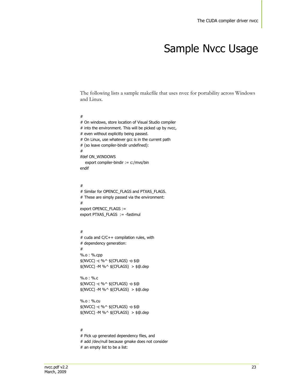# Sample Nvcc Usage

The following lists a sample makefile that uses nvcc for portability across Windows and Linux.

#### #

# On windows, store location of Visual Studio compiler # into the environment. This will be picked up by nvcc, # even without explicitly being passed. # On Linux, use whatever gcc is in the current path # (so leave compiler-bindir undefined): # ifdef ON\_WINDOWS export compiler-bindir := c:/mvs/bin endif

#### #

# Similar for OPENCC\_FLAGS and PTXAS\_FLAGS. # These are simply passed via the environment: # export OPENCC\_FLAGS := export PTXAS\_FLAGS := -fastimul

#### #

# cuda and C/C++ compilation rules, with # dependency generation: # %.o : %.cpp \$(NVCC) -c %^ \$(CFLAGS) -o \$@ \$(NVCC) -M %^ \$(CFLAGS) > \$@.dep

%.o : %.c \$(NVCC) -c %^ \$(CFLAGS) -o \$@ \$(NVCC) -M %^ \$(CFLAGS) > \$@.dep

%.o : %.cu \$(NVCC) -c %^ \$(CFLAGS) -o \$@ \$(NVCC) -M %^ \$(CFLAGS) > \$@.dep

#### #

# Pick up generated dependency files, and # add /dev/null because gmake does not consider # an empty list to be a list: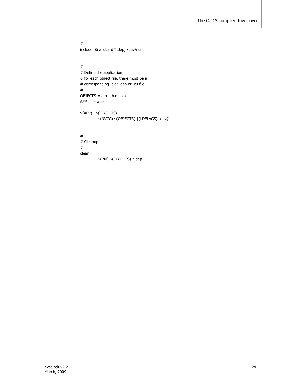# include \$(wildcard \*.dep) /dev/null

```
#
# Define the application; 
# for each object file, there must be a
# corresponding .c or .cpp or .cu file:
#
OBJECTS = a.o b.o c.o
APP = app$(APP) : $(OBJECTS)
         $(NVCC) $(OBJECTS) $(LDFLAGS) -o $@
#
```
# Cleanup: # clean : \$(RM) \$(OBJECTS) \*.dep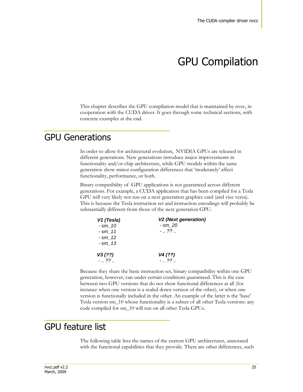# GPU Compilation

This chapter describes the GPU compilation model that is maintained by nvcc, in cooperation with the CUDA driver. It goes through some technical sections, with concrete examples at the end.

### GPU Generations

In order to allow for architectural evolution, NVIDIA GPUs are released in different generations. New generations introduce major improvements in functionality and/or chip architecture, while GPU models within the same generation show minor configuration differences that "moderately" affect functionality, performance, or both.

Binary compatibility of GPU applications is not guaranteed across different generations. For example, a CUDA application that has been compiled for a Tesla GPU will very likely not run on a next generation graphics card (and vice versa). This is because the Tesla instruction set and instruction encodings will probably be substantially different from those of the next generation GPU.

| V1 (Tesla)  | <b>V2 (Next generation)</b> |
|-------------|-----------------------------|
| $-$ sm $10$ | - sm 20                     |
| $-$ sm 11   | $-$ ??                      |
| $-$ sm 12   |                             |
| $-$ sm $13$ |                             |
| V3(??)      | V4 (??)                     |
| $-$ ??      | $-$ ??                      |

Because they share the basic instruction set, binary compatibility within one GPU generation, however, can under certain conditions guaranteed. This is the case between two GPU versions that do not show functional differences at all (for instance when one version is a scaled down version of the other), or when one version is functionally included in the other. An example of the latter is the "base" Tesla version sm\_10 whose functionality is a subset of all other Tesla versions: any code compiled for sm\_10 will run on all other Tesla GPUs.

## GPU feature list

The following table lists the names of the current GPU architectures, annotated with the functional capabilities that they provide. There are other differences, such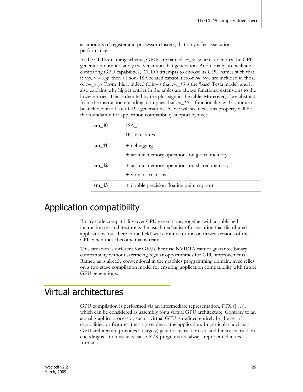as amounts of register and processor clusters, that only affect execution performance.

In the CUDA naming scheme, GPUs are named *sm\_xy*, where *x* denotes the GPU generation number, and  $\gamma$  the version in that generation. Additionally, to facilitate comparing GPU capabilities, CUDA attempts to choose its GPU names such that if  $x_1y_1 \leq x_2y_2$  then all non-ISA related capabilities of  $sm_x \propto y_1$  are included in those of *sm*\_*x2y2*. From this it indeed follows that *sm\_10* is the "base" Tesla model, and it also explains why higher entries in the tables are always functional extensions to the lower entries. This is denoted by the plus sign in the table. Moreover, if we abstract from the instruction encoding, it implies that *sm\_10* "s functionality will continue to be included in all later GPU generations. As we will see next, this property will be the foundation for application compatibility support by nvcc.

| $\text{sm}\_{10}$   | $ISA_1$                                                            |
|---------------------|--------------------------------------------------------------------|
|                     | Basic features                                                     |
| $\text{sm}\_{11}$   | + debugging                                                        |
|                     | + atomic memory operations on global memory                        |
| $\mathrm{sm}\_{12}$ | + atomic memory operations on shared memory<br>+ vote instructions |
| $\mathrm{sm}$ 13    | + double precision floating point support                          |

## Application compatibility

Binary code compatibility over CPU generations, together with a published instruction set architecture is the usual mechanism for ensuring that distributed applications "out there in the field" will continue to run on newer versions of the CPU when these become mainstream.

This situation is different for GPUs, because NVIDIA cannot guarantee binary compatibility without sacrificing regular opportunities for GPU improvements. Rather, as is already conventional in the graphics programming domain, nvcc relies on a two stage compilation model for ensuring application compatibility with future GPU generations.

## Virtual architectures

GPU compilation is performed via an intermediate representation, PTX ([…]), which can be considered as assembly for a virtual GPU architecture. Contrary to an actual graphics processor, such a virtual GPU is defined entirely by the set of capabilities, or features, that it provides to the application. In particular, a virtual GPU architecture provides a (largely) generic instruction set, and binary instruction encoding is a non-issue because PTX programs are always represented in text format.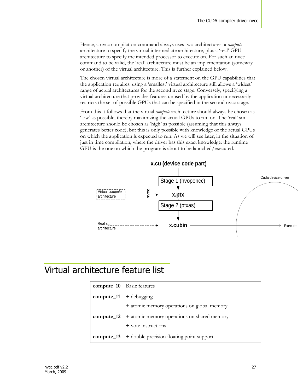Hence, a nvcc compilation command always uses two architectures: a *compute* architecture to specify the virtual intermediate architecture, plus a "real" GPU architecture to specify the intended processor to execute on. For such an nvcc command to be valid, the "real" architecture must be an implementation (someway or another) of the virtual architecture. This is further explained below.

The chosen virtual architecture is more of a statement on the GPU capabilities that the application requires: using a 'smallest' virtual architecture still allows a 'widest' range of actual architectures for the second nvcc stage. Conversely, specifying a virtual architecture that provides features unused by the application unnecessarily restricts the set of possible GPUs that can be specified in the second nvcc stage.

From this it follows that the virtual *compute* architecture should always be chosen as "low' as possible, thereby maximizing the actual GPUs to run on. The 'real' sm architecture should be chosen as "high" as possible (assuming that this always generates better code), but this is only possible with knowledge of the actual GPUs on which the application is expected to run. As we will see later, in the situation of just in time compilation, where the driver has this exact knowledge: the runtime GPU is the one on which the program is about to be launched/executed.



## Virtual architecture feature list

| $compute_10$ | <b>Basic features</b>                       |
|--------------|---------------------------------------------|
| compute_11   | + debugging                                 |
|              | + atomic memory operations on global memory |
| $compute_12$ | + atomic memory operations on shared memory |
|              | $+$ vote instructions                       |
| $compute_13$ | + double precision floating point support   |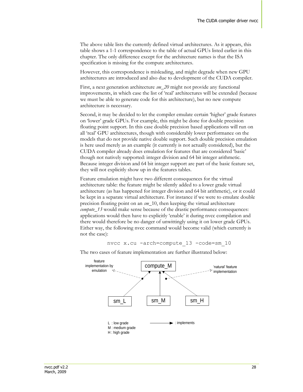The above table lists the currently defined virtual architectures. As it appears, this table shows a 1-1 correspondence to the table of actual GPUs listed earlier in this chapter. The only difference except for the architecture names is that the ISA specification is missing for the compute architectures.

However, this correspondence is misleading, and might degrade when new GPU architectures are introduced and also due to development of the CUDA compiler.

First, a next generation architecture *sm\_20* might not provide any functional improvements, in which case the list of "real" architectures will be extended (because we must be able to generate code for this architecture), but no new compute architecture is necessary.

Second, it may be decided to let the compiler emulate certain "higher" grade features on "lower" grade GPUs. For example, this might be done for double precision floating point support. In this case double precision based applications will run on all "real" GPU architectures, though with considerably lower performance on the models that do not provide native double support. Such double precision emulation is here used merely as an example (it currently is not actually considered), but the CUDA compiler already does emulation for features that are considered "basic" though not natively supported: integer division and 64 bit integer arithmetic. Because integer division and 64 bit integer support are part of the basic feature set, they will not explicitly show up in the features tables.

Feature emulation might have two different consequences for the virtual architecture table: the feature might be silently added to a lower grade virtual architecture (as has happened for integer division and 64 bit arithmetic), or it could be kept in a separate virtual architecture. For instance if we were to emulate double precision floating point on an *sm*\_10, then keeping the virtual architecture *compute\_13* would make sense because of the drastic performance consequences: applications would then have to explicitly "enable" it during nvcc compilation and there would therefore be no danger of unwittingly using it on lower grade GPUs. Either way, the following nvcc command would become valid (which currently is not the case):

```
nvcc x.cu -arch=compute_13 -code=sm_10
```


The two cases of feature implementation are further illustrated below: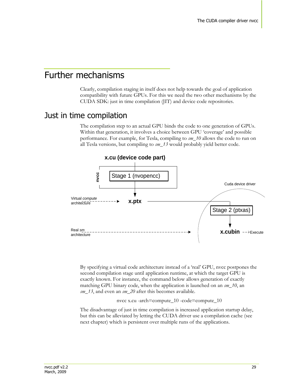### Further mechanisms

Clearly, compilation staging in itself does not help towards the goal of application compatibility with future GPUs. For this we need the two other mechanisms by the CUDA SDK: just in time compilation (JIT) and device code repositories.

#### Just in time compilation

The compilation step to an actual GPU binds the code to one generation of GPUs. Within that generation, it involves a choice between GPU 'coverage' and possible performance. For example, for Tesla, compiling to *sm\_10* allows the code to run on all Tesla versions, but compiling to *sm\_13* would probably yield better code.



By specifying a virtual code architecture instead of a "real" GPU, nvcc postpones the second compilation stage until application runtime, at which the target GPU is exactly known. For instance, the command below allows generation of exactly matching GPU binary code, when the application is launched on an *sm\_10*, an *sm\_13*, and even an *sm\_20* after this becomes available.

nvcc x.cu -arch=compute\_10 -code=compute\_10

The disadvantage of just in time compilation is increased application startup delay, but this can be alleviated by letting the CUDA driver use a compilation cache (see next chapter) which is persistent over multiple runs of the applications.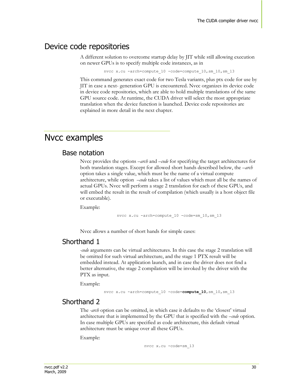#### Device code repositories

A different solution to overcome startup delay by JIT while still allowing execution on newer GPUs is to specify multiple code instances, as in

nvcc x.cu -arch=compute 10 -code=compute 10, sm 10, sm 13

This command generates exact code for two Tesla variants, plus ptx code for use by JIT in case a next- generation GPU is encountered. Nvcc organizes its device code in device code repositories, which are able to hold multiple translations of the same GPU source code. At runtime, the CUDA driver will select the most appropriate translation when the device function is launched. Device code repositories are explained in more detail in the next chapter.

### Nvcc examples

#### Base notation

Nvcc provides the options *–arch* and *–code* for specifying the target architectures for both translation stages. Except for allowed short hands described below, the *–arch* option takes a single value, which must be the name of a virtual compute architecture, while option *–code* takes a list of values which must all be the names of actual GPUs. Nvcc will perform a stage 2 translation for each of these GPUs, and will embed the result in the result of compilation (which usually is a host object file or executable).

Example:

nvcc x.cu -arch=compute 10 -code=sm 10, sm 13

Nvcc allows a number of short hands for simple cases:

#### Shorthand 1

*-code* arguments can be virtual architectures. In this case the stage 2 translation will be omitted for such virtual architecture, and the stage 1 PTX result will be embedded instead. At application launch, and in case the driver does not find a better alternative, the stage 2 compilation will be invoked by the driver with the PTX as input.

Example:

nvcc x.cu -arch=compute\_10 -code=**compute\_10**,sm\_10,sm\_13

#### Shorthand 2

The *-arch* option can be omitted, in which case it defaults to the 'closest' virtual architecture that is implemented by the GPU that is specified with the *–code* option. In case multiple GPUs are specified as code architecture, this default virtual architecture must be unique over all these GPUs.

Example:

nvcc x.cu -code=sm\_13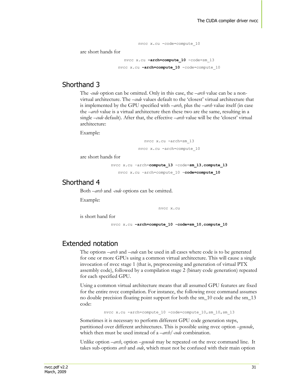nvcc x.cu -code=compute\_10 are short hands for nvcc x.cu **–arch=compute\_10** -code=sm\_13 nvcc x.cu **–arch=compute\_10** -code=compute\_10

#### Shorthand 3

The *-code* option can be omitted. Only in this case, the *–arch* value can be a nonvirtual architecture. The *–code* values default to the "closest" virtual architecture that is implemented by the GPU specified with *–arch*, plus the *–arch* value itself (in case the *–arch* value is a virtual architecture then these two are the same, resulting in a single *–code* default). After that, the effective –*arch* value will be the "closest" virtual architecture:

Example:

nvcc x.cu -arch=sm\_13 nvcc x.cu -arch=compute\_10

are short hands for

nvcc x.cu –arch=**compute\_13** -code=**sm\_13,compute\_13** nvcc x.cu –arch=compute\_10 -**code=compute\_10**

#### Shorthand 4

Both *–arch* and *-code* options can be omitted.

Example:

nvcc x.cu

is short hand for

nvcc x.cu **–arch=compute\_10 -code=sm\_10,compute\_10**

#### Extended notation

The options *–arch* and *–code* can be used in all cases where code is to be generated for one or more GPUs using a common virtual architecture. This will cause a single invocation of nvcc stage 1 (that is, preprocessing and generation of virtual PTX assembly code), followed by a compilation stage 2 (binary code generation) repeated for each specified GPU.

Using a common virtual architecture means that all assumed GPU features are fixed for the entire nvcc compilation. For instance, the following nvcc command assumes no double precision floating point support for both the sm\_10 code and the sm\_13 code:

nvcc x.cu -arch=compute 10 -code=compute 10, sm 10, sm 13

Sometimes it is necessary to perform different GPU code generation steps, partitioned over different architectures. This is possible using nvcc option *–gencode*, which then must be used instead of a *–arch/-code* combination.

Unlike option *–arch*, option *–gencode* may be repeated on the nvcc command line. It takes sub-options *arch* and *code*, which must not be confused with their main option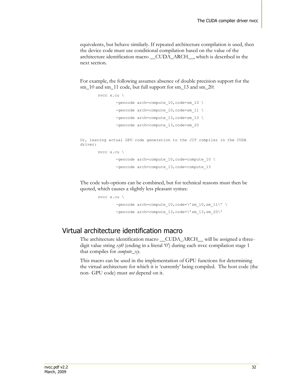equivalents, but behave similarly. If repeated architecture compilation is used, then the device code must use conditional compilation based on the value of the architecture identification macro \_\_CUDA\_ARCH\_\_, which is described in the next section.

For example, the following assumes absence of double precision support for the sm\_10 and sm\_11 code, but full support for sm\_13 and sm\_20:

```
nvcc x.cu \
                -gencode arch=compute 10, code=sm 10 \
                -gencode arch=compute 10, code=sm 11 \
                -gencode arch=compute 13, code=sm 13 \backslash-gencode arch=compute 13, code=sm 20
Or, leaving actual GPU code generation to the JIT compiler in the CUDA 
driver:
        nvcc x.cu \
                -gencode arch=compute 10, code=compute 10 \backslash-gencode arch=compute 13, code=compute 13
```
The code sub-options can be combined, but for technical reasons must then be quoted, which causes a slightly less pleasant syntax:

```
nvcc x.cu \
           -gencode \arch = \text{compute}_10, \text{code} = \frac{10, \text{sm}_10, \text{sm}_11}{\sqrt{2}}-gencode arch=compute 13, code=\'sm_13,sm_20\'
```
#### Virtual architecture identification macro

The architecture identification macro \_\_CUDA\_ARCH\_\_ will be assigned a threedigit value string *xy0* (ending in a literal '0') during each nvcc compilation stage 1 that compiles for *compute\_xy*.

This macro can be used in the implementation of GPU functions for determining the virtual architecture for which it is "currently" being compiled. The host code (the non- GPU code) must *not* depend on it.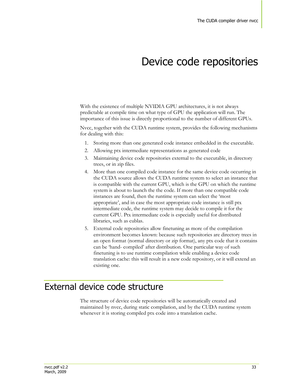# Device code repositories

With the existence of multiple NVIDIA GPU architectures, it is not always predictable at compile time on what type of GPU the application will run. The importance of this issue is directly proportional to the number of different GPUs.

Nvcc, together with the CUDA runtime system, provides the following mechanisms for dealing with this:

- 1. Storing more than one generated code instance embedded in the executable.
- 2. Allowing ptx intermediate representations as generated code
- 3. Maintaining device code repositories external to the executable, in directory trees, or in zip files.
- 4. More than one compiled code instance for the same device code occurring in the CUDA source allows the CUDA runtime system to select an instance that is compatible with the current GPU, which is the GPU on which the runtime system is about to launch the the code. If more than one compatible code instances are found, then the runtime system can select the "most appropriate", and in case the most appropriate code instance is still ptx intermediate code, the runtime system may decide to compile it for the current GPU. Ptx intermediate code is especially useful for distributed libraries, such as cublas.
- 5. External code repositories allow finetuning as more of the compilation environment becomes known: because such repositories are directory trees in an open format (normal directory or zip format), any ptx code that it contains can be "hand- compiled" after distribution. One particular way of such finetuning is to use runtime compilation while enabling a device code translation cache: this will result in a new code repository, or it will extend an existing one.

#### External device code structure

The structure of device code repositories will be automatically created and maintained by nvcc, during static compilation, and by the CUDA runtime system whenever it is storing compiled ptx code into a translation cache.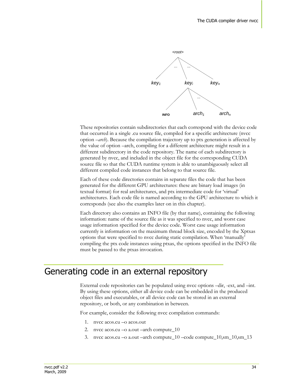

These repositories contain subdirectories that each correspond with the device code that occurred in a single .cu source file, compiled for a specific architecture (nvcc option *–arch*). Because the compilation trajectory up to ptx generation is affected by the value of option –arch, compiling for a different architecture might result in a different subdirectory in the code repository. The name of each subdirectory is generated by nvcc, and included in the object file for the corresponding CUDA source file so that the CUDA runtime system is able to unambiguously select all different compiled code instances that belong to that source file.

Each of these code directories contains in separate files the code that has been generated for the different GPU architectures: these are binary load images (in textual format) for real architectures, and ptx intermediate code for "virtual" architectures. Each code file is named according to the GPU architecture to which it corresponds (see also the examples later on in this chapter).

Each directory also contains an INFO file (by that name), containing the following information: name of the source file as it was specified to nvcc, and worst case usage information specified for the device code. Worst case usage information currently is information on the maximum thread block size, encoded by the Xptxas options that were specified to nvcc during static compilation. When "manually" compiling the ptx code instances using ptxas, the options specified in the INFO file must be passed to the ptxas invocation.

#### Generating code in an external repository

External code repositories can be populated using nvcc options –dir, -ext, and –int. By using these options, either all device code can be embedded in the produced object files and executables, or all device code can be stored in an external repository, or both, or any combination in between.

For example, consider the following nvcc compilation commands:

- 1. nvcc acos.cu –o acos.out
- 2. nvcc acos.cu –o a.out –arch compute\_10
- 3. nvcc acos.cu –o a.out –arch compute\_10 –code compute\_10,sm\_10,sm\_13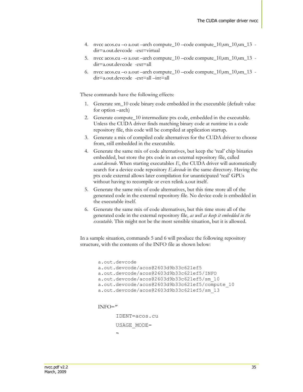- 4. nvcc acos.cu –o a.out –arch compute\_10 –code compute\_10,sm\_10,sm\_13 dir=a.out.devcode -ext=virtual
- 5. nvcc acos.cu –o a.out –arch compute\_10 –code compute\_10,sm\_10,sm\_13 dir=a.out.devcode -ext=all
- 6. nvcc acos.cu –o a.out –arch compute\_10 –code compute\_10,sm\_10,sm\_13 dir=a.out.devcode -ext=all –int=all

These commands have the following effects:

- 1. Generate sm\_10 code binary code embedded in the executable (default value for option –arch)
- 2. Generate compute 10 intermediate ptx code, embedded in the executable. Unless the CUDA driver finds matching binary code at runtime in a code repository file, this code will be compiled at application startup.
- 3. Generate a mix of compiled code alternatives for the CUDA driver to choose from, still embedded in the executable.
- 4. Generate the same mix of code alternatives, but keep the "real" chip binaries embedded, but store the ptx code in an external repository file, called *a.out.devcode*. When starting executables *E*, the CUDA driver will automatically search for a device code repository *E.devcode* in the same directory. Having the ptx code external allows later compilation for unanticipated "real" GPUs without having to recompile or even relink a.out itself.
- 5. Generate the same mix of code alternatives, but this time store all of the generated code in the external repository file. No device code is embedded in the executable itself.
- 6. Generate the same mix of code alternatives, but this time store all of the generated code in the external repository file, *as well as keep it embedded in the executable*. This might not be the most sensible situation, but it is allowed.

In a sample situation, commands 5 and 6 will produce the following repository structure, with the contents of the INFO file as shown below:

```
a.out.devcode
a.out.devcode/acos@2603d9b33c621ef5
a.out.devcode/acos@2603d9b33c621ef5/INFO
a.out.devcode/acos@2603d9b33c621ef5/sm_10
a.out.devcode/acos@2603d9b33c621ef5/compute_10
a.out.devcode/acos@2603d9b33c621ef5/sm_13
```

```
INFO="
```

```
IDENT=acos.cu
USAGE_MODE=
"
```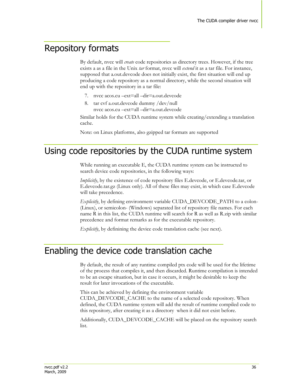# Repository formats

By default, nvcc will *create* code repositories as directory trees. However, if the tree exists a as a file in the Unix *tar* format, nvcc will *extend* it as a tar file. For instance, supposed that a.out.devcode does not initially exist, the first situation will end up producing a code repository as a normal directory, while the second situation will end up with the repository in a tar file:

- 7. nvcc acos.cu –ext=all –dir=a.out.devcode
- 8. tar cvf a.out.devcode dummy /dev/null nvcc acos.cu –ext=all –dir=a.out.devcode

Similar holds for the CUDA runtime system while creating/extending a translation cache.

Note: on Linux platforms, also gzipped tar formats are supported

## Using code repositories by the CUDA runtime system

While running an executable E, the CUDA runtime system can be instructed to search device code repositories, in the following ways:

*Implicitly*, by the existence of code repository files E.devcode, or E.devcode.tar, or E.devcode.tar.gz (Linux only). All of these files may exist, in which case E.devcode will take precedence.

*Explicitly*, by defining environment variable CUDA\_DEVCODE\_PATH to a colon- (Linux), or semicolon- (Windows) separated list of repository file names. For each name R in this list, the CUDA runtime will search for R as well as R.zip with similar precedence and format remarks as for the executable repository.

*Explicitly*, by definining the device code translation cache (see next).

## Enabling the device code translation cache

By default, the result of any runtime compiled ptx code will be used for the lifetime of the process that compiles it, and then discarded. Runtime compilation is intended to be an escape situation, but in case it occurs, it might be desirable to keep the result for later invocations of the executable.

This can be achieved by defining the environment variable CUDA\_DEVCODE\_CACHE to the name of a selected code repository. When defined, the CUDA runtime system will add the result of runtime compiled code to this repository, after creating it as a directory when it did not exist before.

Additionally, CUDA\_DEVCODE\_CACHE will be placed on the repository search list.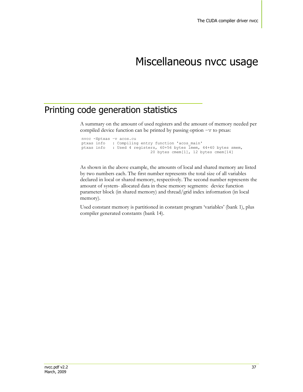# Miscellaneous nvcc usage

# Printing code generation statistics

A summary on the amount of used registers and the amount of memory needed per compiled device function can be printed by passing option  $-v$  to ptxas:

nvcc -Xptxas –v acos.cu ptxas info : Compiling entry function 'acos\_main' ptxas info : Used 4 registers, 60+56 bytes lmem, 44+40 bytes smem, 20 bytes cmem[1], 12 bytes cmem[14]

As shown in the above example, the amounts of local and shared memory are listed by two numbers each. The first number represents the total size of all variables declared in local or shared memory, respectively. The second number represents the amount of system- allocated data in these memory segments: device function parameter block (in shared memory) and thread/grid index information (in local memory).

Used constant memory is partitioned in constant program "variables" (bank 1), plus compiler generated constants (bank 14).